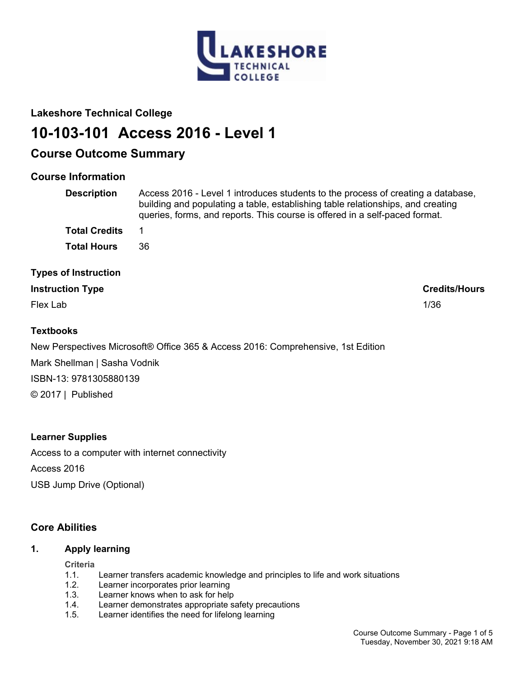

# **Lakeshore Technical College**

# **10-103-101 Access 2016 - Level 1**

# **Course Outcome Summary**

# **Course Information**

| <b>Description</b>          | Access 2016 - Level 1 introduces students to the process of creating a database,<br>building and populating a table, establishing table relationships, and creating<br>queries, forms, and reports. This course is offered in a self-paced format. |
|-----------------------------|----------------------------------------------------------------------------------------------------------------------------------------------------------------------------------------------------------------------------------------------------|
| <b>Total Credits</b>        | 1                                                                                                                                                                                                                                                  |
| <b>Total Hours</b>          | 36                                                                                                                                                                                                                                                 |
| <b>Types of Instruction</b> |                                                                                                                                                                                                                                                    |
| <b>Instruction Type</b>     | <b>Credits/Hours</b>                                                                                                                                                                                                                               |

Flex Lab 1/36

# **Textbooks**

New Perspectives Microsoft® Office 365 & Access 2016: Comprehensive, 1st Edition Mark Shellman | Sasha Vodnik ISBN-13: 9781305880139 © 2017 | Published

# **Learner Supplies**

Access to a computer with internet connectivity Access 2016 USB Jump Drive (Optional)

# **Core Abilities**

# **1. Apply learning**

## **Criteria**

- 1.1. Learner transfers academic knowledge and principles to life and work situations
- 1.2. Learner incorporates prior learning
- 1.3. Learner knows when to ask for help
- 1.4. Learner demonstrates appropriate safety precautions
- 1.5. Learner identifies the need for lifelong learning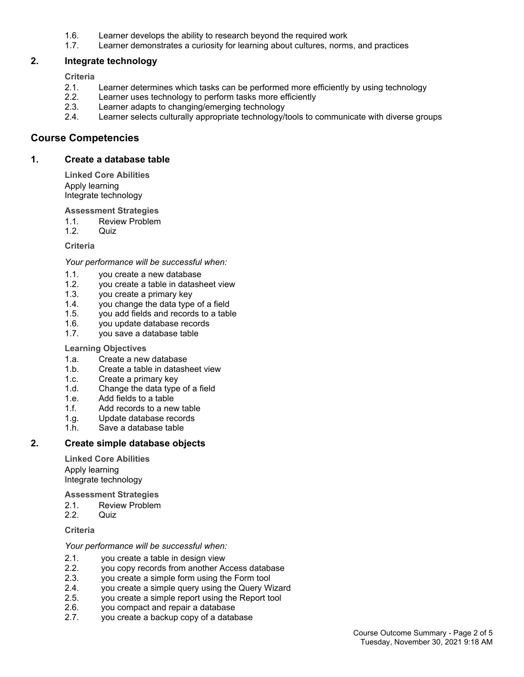- 1.6. Learner develops the ability to research beyond the required work
- 1.7. Learner demonstrates a curiosity for learning about cultures, norms, and practices

# **2. Integrate technology**

**Criteria**

- 2.1. Learner determines which tasks can be performed more efficiently by using technology
- 2.2. Learner uses technology to perform tasks more efficiently
- 2.3. Learner adapts to changing/emerging technology
- 2.4. Learner selects culturally appropriate technology/tools to communicate with diverse groups

# **Course Competencies**

## **1. Create a database table**

**Linked Core Abilities** Apply learning Integrate technology

#### **Assessment Strategies**

- 1.1. Review Problem
- 1.2. Quiz

#### **Criteria**

#### *Your performance will be successful when:*

- 1.1. you create a new database
- 1.2. you create a table in datasheet view
- 1.3. you create a primary key
- 1.4. you change the data type of a field
- 1.5. you add fields and records to a table
- 1.6. you update database records
- 1.7. you save a database table

#### **Learning Objectives**

- 1.a. Create a new database
- 1.b. Create a table in datasheet view
- 1.c. Create a primary key
- 1.d. Change the data type of a field
- 1.e. Add fields to a table
- 1.f. Add records to a new table
- 1.g. Update database records
- 1.h. Save a database table

# **2. Create simple database objects**

**Linked Core Abilities** Apply learning Integrate technology

**Assessment Strategies**

- 2.1. Review Problem
- 2.2. Quiz

#### **Criteria**

*Your performance will be successful when:*

- 2.1. you create a table in design view
- 2.2. you copy records from another Access database
- 2.3. you create a simple form using the Form tool
- 2.4. you create a simple query using the Query Wizard
- 2.5. you create a simple report using the Report tool
- 2.6. you compact and repair a database
- 2.7. you create a backup copy of a database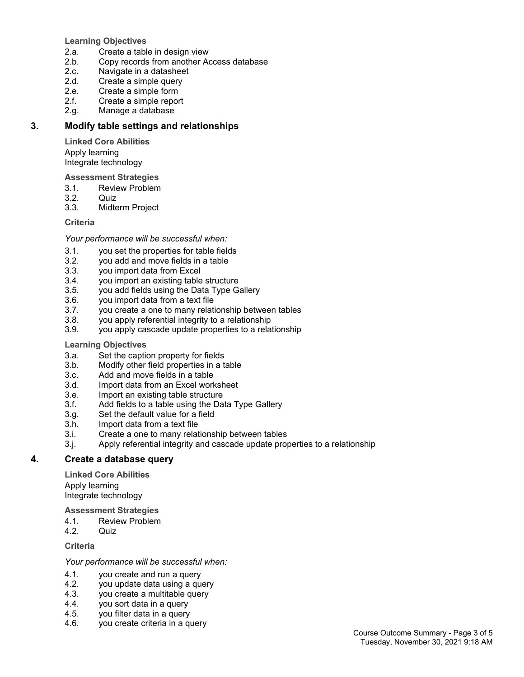**Learning Objectives**

- 2.a. Create a table in design view
- 2.b. Copy records from another Access database
- 2.c. Navigate in a datasheet
- 2.d. Create a simple query
- 2.e. Create a simple form<br>2.f. Create a simple repor
- Create a simple report
- 2.g. Manage a database

# **3. Modify table settings and relationships**

**Linked Core Abilities** Apply learning Integrate technology

**Assessment Strategies**

- 3.1. Review Problem<br>3.2. Quiz
- Quiz.
- 3.3. Midterm Project

#### **Criteria**

*Your performance will be successful when:*

- 3.1. you set the properties for table fields
- 3.2. you add and move fields in a table
- 3.3. you import data from Excel
- 3.4. you import an existing table structure
- 3.5. you add fields using the Data Type Gallery
- 3.6. you import data from a text file
- 3.7. you create a one to many relationship between tables<br>3.8. vou apply referential integrity to a relationship
- you apply referential integrity to a relationship
- 3.9. you apply cascade update properties to a relationship

#### **Learning Objectives**

- 3.a. Set the caption property for fields
- 3.b. Modify other field properties in a table
- 3.c. Add and move fields in a table
- 3.d. Import data from an Excel worksheet
- 3.e. Import an existing table structure
- 3.f. Add fields to a table using the Data Type Gallery
- 3.g. Set the default value for a field
- 3.h. Import data from a text file
- 3.i. Create a one to many relationship between tables
- 3.j. Apply referential integrity and cascade update properties to a relationship

# **4. Create a database query**

**Linked Core Abilities**

Apply learning Integrate technology

**Assessment Strategies**

- 4.1. Review Problem
- 4.2. Quiz

**Criteria**

*Your performance will be successful when:*

- 4.1. you create and run a query
- 4.2. you update data using a query
- 4.3. you create a multitable query
- 4.4. you sort data in a query
- 4.5. you filter data in a query
- 4.6. you create criteria in a query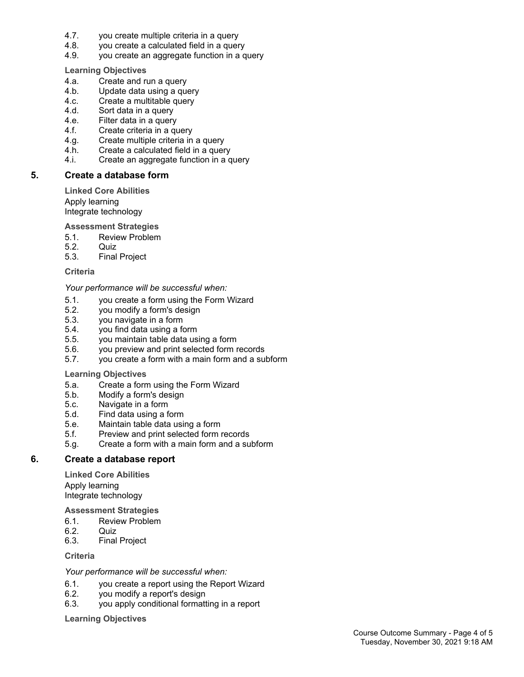- 4.7. you create multiple criteria in a query
- 4.8. you create a calculated field in a query
- 4.9. you create an aggregate function in a query

**Learning Objectives**

- 4.a. Create and run a query
- 4.b. Update data using a query<br>4.c. Create a multitable query
- Create a multitable query
- 4.d. Sort data in a query
- 4.e. Filter data in a query
- 4.f. Create criteria in a query
- 4.g. Create multiple criteria in a query
- 4.h. Create a calculated field in a query
- 4.i. Create an aggregate function in a query

## **5. Create a database form**

**Linked Core Abilities** Apply learning Integrate technology

**Assessment Strategies**

- 5.1. Review Problem
- 5.2. Quiz
- 5.3. Final Project

**Criteria**

*Your performance will be successful when:*

- 5.1. you create a form using the Form Wizard<br>5.2. vou modify a form's design
- 5.2. you modify a form's design<br>5.3. vou navigate in a form
- you navigate in a form
- 5.4. you find data using a form
- 5.5. you maintain table data using a form
- 5.6. you preview and print selected form records
- 5.7. you create a form with a main form and a subform

#### **Learning Objectives**

- 5.a. Create a form using the Form Wizard
- 5.b. Modify a form's design
- 5.c. Navigate in a form
- 5.d. Find data using a form
- 5.e. Maintain table data using a form
- 5.f. Preview and print selected form records
- 5.g. Create a form with a main form and a subform

## **6. Create a database report**

**Linked Core Abilities** Apply learning Integrate technology

**Assessment Strategies**

- 6.1. Review Problem
- 6.2. Quiz
- Final Project

**Criteria**

*Your performance will be successful when:*

- 6.1. you create a report using the Report Wizard
- 6.2. you modify a report's design
- 6.3. you apply conditional formatting in a report

**Learning Objectives**